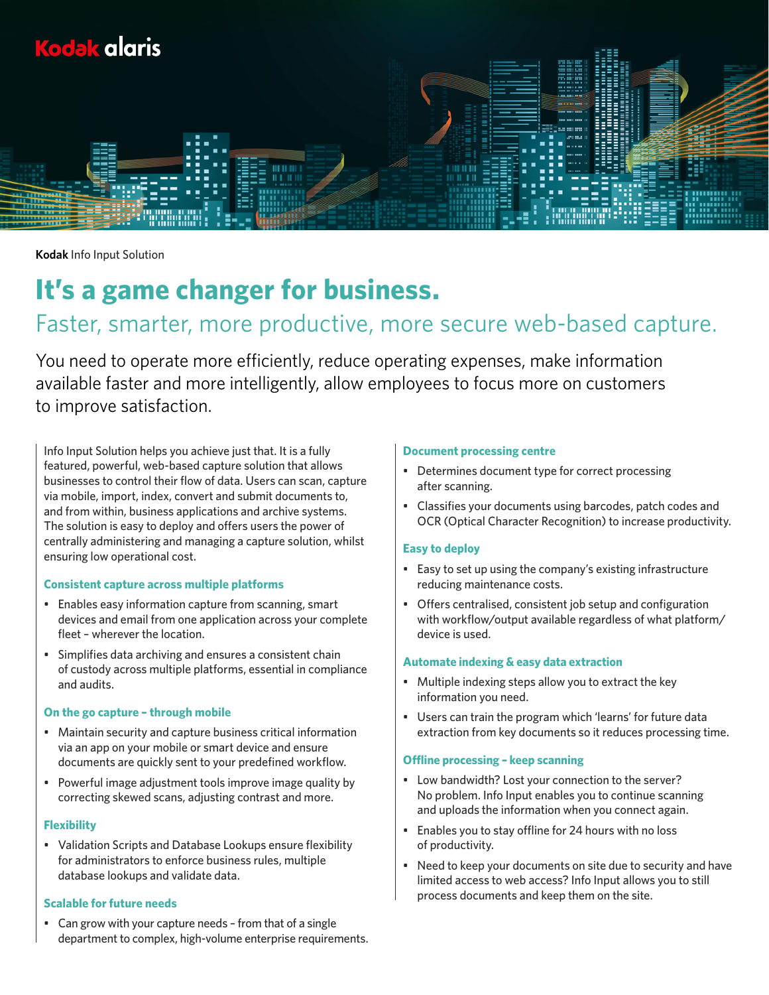

**Kodak** Info Input Solution

# **It's a game changer for business.**

# Faster, smarter, more productive, more secure web-based capture.

You need to operate more efficiently, reduce operating expenses, make information available faster and more intelligently, allow employees to focus more on customers to improve satisfaction.

Info Input Solution helps you achieve just that. It is a fully featured, powerful, web-based capture solution that allows businesses to control their flow of data. Users can scan, capture via mobile, import, index, convert and submit documents to, and from within, business applications and archive systems. The solution is easy to deploy and offers users the power of centrally administering and managing a capture solution, whilst ensuring low operational cost.

# **Consistent capture across multiple platforms**

- Enables easy information capture from scanning, smart devices and email from one application across your complete fleet – wherever the location.
- Simplifies data archiving and ensures a consistent chain of custody across multiple platforms, essential in compliance and audits.

#### **On the go capture – through mobile**

- Maintain security and capture business critical information via an app on your mobile or smart device and ensure documents are quickly sent to your predefined workflow.
- Powerful image adjustment tools improve image quality by correcting skewed scans, adjusting contrast and more.

# **Flexibility**

• Validation Scripts and Database Lookups ensure flexibility for administrators to enforce business rules, multiple database lookups and validate data.

## **Scalable for future needs**

• Can grow with your capture needs – from that of a single department to complex, high-volume enterprise requirements.

#### **Document processing centre**

- Determines document type for correct processing after scanning.
- Classifies your documents using barcodes, patch codes and OCR (Optical Character Recognition) to increase productivity.

#### **Easy to deploy**

- Easy to set up using the company's existing infrastructure reducing maintenance costs.
- Offers centralised, consistent job setup and configuration with workflow/output available regardless of what platform/ device is used.

#### **Automate indexing & easy data extraction**

- Multiple indexing steps allow you to extract the key information you need.
- Users can train the program which 'learns' for future data extraction from key documents so it reduces processing time.

#### **Offline processing – keep scanning**

- Low bandwidth? Lost your connection to the server? No problem. Info Input enables you to continue scanning and uploads the information when you connect again.
- Enables you to stay offline for 24 hours with no loss of productivity.
- Need to keep your documents on site due to security and have limited access to web access? Info Input allows you to still process documents and keep them on the site.